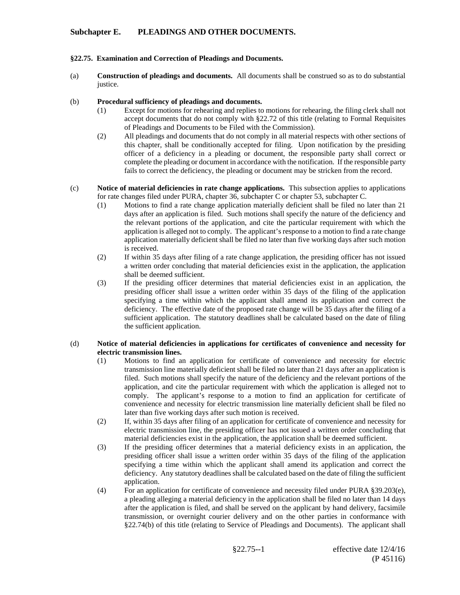# **Subchapter E. PLEADINGS AND OTHER DOCUMENTS.**

### **§22.75. Examination and Correction of Pleadings and Documents.**

(a) **Construction of pleadings and documents.** All documents shall be construed so as to do substantial justice.

### (b) **Procedural sufficiency of pleadings and documents.**

- (1) Except for motions for rehearing and replies to motions for rehearing, the filing clerk shall not accept documents that do not comply with §22.72 of this title (relating to Formal Requisites of Pleadings and Documents to be Filed with the Commission).
- (2) All pleadings and documents that do not comply in all material respects with other sections of this chapter, shall be conditionally accepted for filing. Upon notification by the presiding officer of a deficiency in a pleading or document, the responsible party shall correct or complete the pleading or document in accordance with the notification. If the responsible party fails to correct the deficiency, the pleading or document may be stricken from the record.

#### (c) **Notice of material deficiencies in rate change applications.** This subsection applies to applications for rate changes filed under PURA, chapter 36, subchapter C or chapter 53, subchapter C.

- (1) Motions to find a rate change application materially deficient shall be filed no later than 21 days after an application is filed. Such motions shall specify the nature of the deficiency and the relevant portions of the application, and cite the particular requirement with which the application is alleged not to comply. The applicant's response to a motion to find a rate change application materially deficient shall be filed no later than five working days after such motion is received.
- (2) If within 35 days after filing of a rate change application, the presiding officer has not issued a written order concluding that material deficiencies exist in the application, the application shall be deemed sufficient.
- (3) If the presiding officer determines that material deficiencies exist in an application, the presiding officer shall issue a written order within 35 days of the filing of the application specifying a time within which the applicant shall amend its application and correct the deficiency. The effective date of the proposed rate change will be 35 days after the filing of a sufficient application. The statutory deadlines shall be calculated based on the date of filing the sufficient application.

## (d) **Notice of material deficiencies in applications for certificates of convenience and necessity for electric transmission lines.**

- (1) Motions to find an application for certificate of convenience and necessity for electric transmission line materially deficient shall be filed no later than 21 days after an application is filed. Such motions shall specify the nature of the deficiency and the relevant portions of the application, and cite the particular requirement with which the application is alleged not to comply. The applicant's response to a motion to find an application for certificate of convenience and necessity for electric transmission line materially deficient shall be filed no later than five working days after such motion is received.
- (2) If, within 35 days after filing of an application for certificate of convenience and necessity for electric transmission line, the presiding officer has not issued a written order concluding that material deficiencies exist in the application, the application shall be deemed sufficient.
- (3) If the presiding officer determines that a material deficiency exists in an application, the presiding officer shall issue a written order within 35 days of the filing of the application specifying a time within which the applicant shall amend its application and correct the deficiency. Any statutory deadlines shall be calculated based on the date of filing the sufficient application.
- (4) For an application for certificate of convenience and necessity filed under PURA §39.203(e), a pleading alleging a material deficiency in the application shall be filed no later than 14 days after the application is filed, and shall be served on the applicant by hand delivery, facsimile transmission, or overnight courier delivery and on the other parties in conformance with §22.74(b) of this title (relating to Service of Pleadings and Documents). The applicant shall